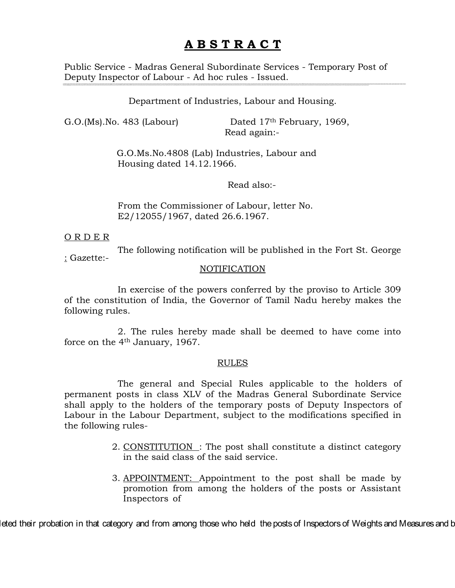# **A B S T R A C T**

Public Service - Madras General Subordinate Services - Temporary Post of Deputy Inspector of Labour - Ad hoc rules - Issued.

### Department of Industries, Labour and Housing.

G.O.(Ms). No. 483 (Labour) Dated  $17<sup>th</sup>$  February, 1969, Read again:-

> G.O.Ms.No.4808 (Lab) Industries, Labour and Housing dated 14.12.1966.

> > Read also:-

From the Commissioner of Labour, letter No. E2/12055/1967, dated 26.6.1967.

#### O R D E R

The following notification will be published in the Fort St. George

: Gazette:-

#### **NOTIFICATION**

In exercise of the powers conferred by the proviso to Article 309 of the constitution of India, the Governor of Tamil Nadu hereby makes the following rules.

2. The rules hereby made shall be deemed to have come into force on the 4th January, 1967.

#### RULES

The general and Special Rules applicable to the holders of permanent posts in class XLV of the Madras General Subordinate Service shall apply to the holders of the temporary posts of Deputy Inspectors of Labour in the Labour Department, subject to the modifications specified in the following rules-

- 2. CONSTITUTION: The post shall constitute a distinct category in the said class of the said service.
- 3. APPOINTMENT: Appointment to the post shall be made by promotion from among the holders of the posts or Assistant Inspectors of

leted their probation in that category and from among those who held the posts of Inspectors of Weights and Measures and b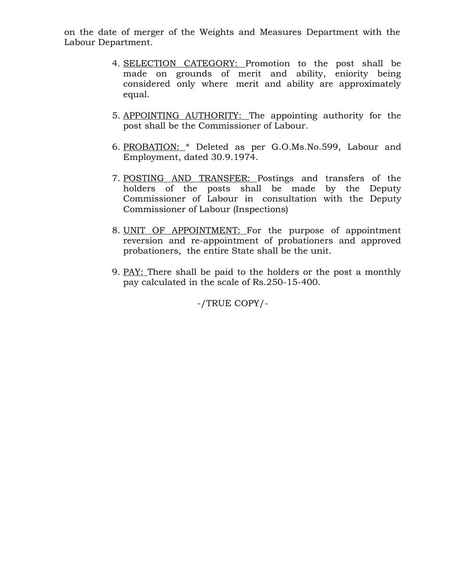on the date of merger of the Weights and Measures Department with the Labour Department.

- 4. SELECTION CATEGORY: Promotion to the post shall be made on grounds of merit and ability, eniority being considered only where merit and ability are approximately equal.
- 5. APPOINTING AUTHORITY: The appointing authority for the post shall be the Commissioner of Labour.
- 6. PROBATION: \* Deleted as per G.O.Ms.No.599, Labour and Employment, dated 30.9.1974.
- 7. POSTING AND TRANSFER: Postings and transfers of the holders of the posts shall be made by the Deputy Commissioner of Labour in consultation with the Deputy Commissioner of Labour (Inspections)
- 8. UNIT OF APPOINTMENT: For the purpose of appointment reversion and re-appointment of probationers and approved probationers, the entire State shall be the unit.
- 9. PAY: There shall be paid to the holders or the post a monthly pay calculated in the scale of Rs.250-15-400.

-/TRUE COPY/-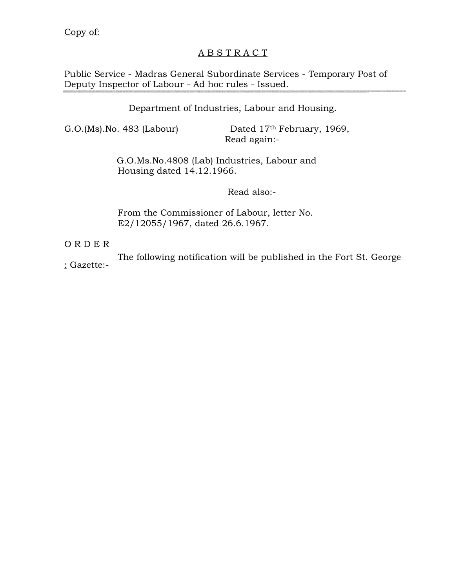# A B S T R A C T

Public Service - Madras General Subordinate Services - Temporary Post of Deputy Inspector of Labour - Ad hoc rules - Issued.

## Department of Industries, Labour and Housing.

G.O.(Ms).No. 483 (Labour) Dated 17<sup>th</sup> February, 1969, Read again:-

> G.O.Ms.No.4808 (Lab) Industries, Labour and Housing dated 14.12.1966.

## Read also:-

From the Commissioner of Labour, letter No. E2/12055/1967, dated 26.6.1967.

O R D E R

The following notification will be published in the Fort St. George

: Gazette:-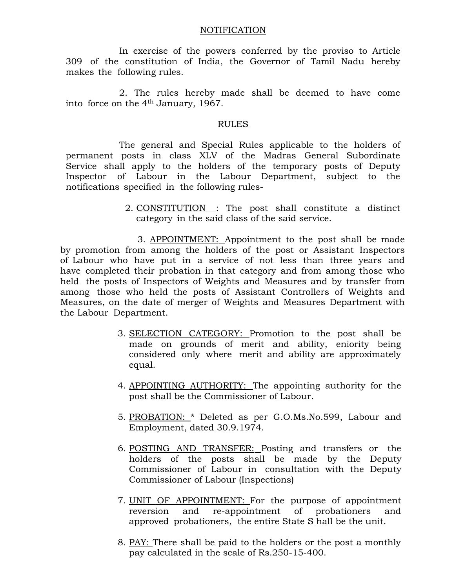#### NOTIFICATION

In exercise of the powers conferred by the proviso to Article 309 of the constitution of India, the Governor of Tamil Nadu hereby makes the following rules.

2. The rules hereby made shall be deemed to have come into force on the 4th January, 1967.

### RULES

The general and Special Rules applicable to the holders of permanent posts in class XLV of the Madras General Subordinate Service shall apply to the holders of the temporary posts of Deputy Inspector of Labour in the Labour Department, subject to the notifications specified in the following rules-

> 2. CONSTITUTION : The post shall constitute a distinct category in the said class of the said service.

 3. APPOINTMENT: Appointment to the post shall be made by promotion from among the holders of the post or Assistant Inspectors of Labour who have put in a service of not less than three years and have completed their probation in that category and from among those who held the posts of Inspectors of Weights and Measures and by transfer from among those who held the posts of Assistant Controllers of Weights and Measures, on the date of merger of Weights and Measures Department with the Labour Department.

- 3. SELECTION CATEGORY: Promotion to the post shall be made on grounds of merit and ability, eniority being considered only where merit and ability are approximately equal.
- 4. APPOINTING AUTHORITY: The appointing authority for the post shall be the Commissioner of Labour.
- 5. PROBATION: \* Deleted as per G.O.Ms.No.599, Labour and Employment, dated 30.9.1974.
- 6. POSTING AND TRANSFER: Posting and transfers or the holders of the posts shall be made by the Deputy Commissioner of Labour in consultation with the Deputy Commissioner of Labour (Inspections)
- 7. UNIT OF APPOINTMENT: For the purpose of appointment reversion and re-appointment of probationers and approved probationers, the entire State S hall be the unit.
- 8. PAY: There shall be paid to the holders or the post a monthly pay calculated in the scale of Rs.250-15-400.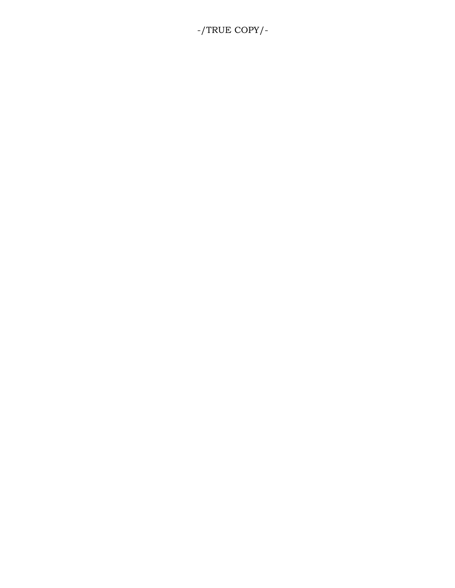# -/TRUE COPY/-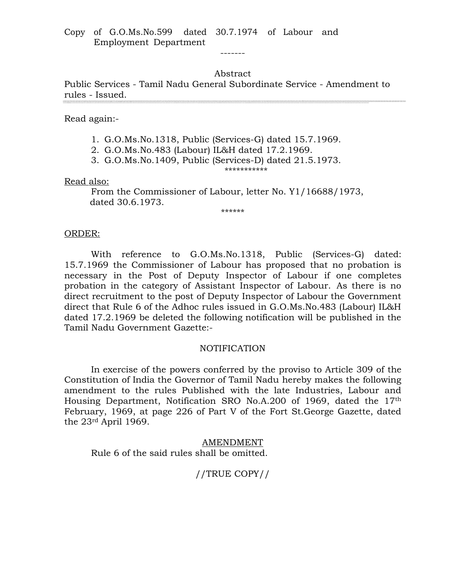### Abstract

-------

Public Services - Tamil Nadu General Subordinate Service - Amendment to rules - Issued.

Read again:-

- 1. G.O.Ms.No.1318, Public (Services-G) dated 15.7.1969.
- 2. G.O.Ms.No.483 (Labour) IL&H dated 17.2.1969.
- 3. G.O.Ms.No.1409, Public (Services-D) dated 21.5.1973.

\*\*\*\*\*\*\*\*\*\*\*

Read also:

From the Commissioner of Labour, letter No. Y1/16688/1973, dated 30.6.1973.

\*\*\*\*\*\*

#### ORDER:

With reference to G.O.Ms.No.1318, Public (Services-G) dated: 15.7.1969 the Commissioner of Labour has proposed that no probation is necessary in the Post of Deputy Inspector of Labour if one completes probation in the category of Assistant Inspector of Labour. As there is no direct recruitment to the post of Deputy Inspector of Labour the Government direct that Rule 6 of the Adhoc rules issued in G.O.Ms.No.483 (Labour) IL&H dated 17.2.1969 be deleted the following notification will be published in the Tamil Nadu Government Gazette:-

#### NOTIFICATION

In exercise of the powers conferred by the proviso to Article 309 of the Constitution of India the Governor of Tamil Nadu hereby makes the following amendment to the rules Published with the late Industries, Labour and Housing Department, Notification SRO No.A.200 of 1969, dated the 17th February, 1969, at page 226 of Part V of the Fort St.George Gazette, dated the 23rd April 1969.

AMENDMENT Rule 6 of the said rules shall be omitted.

## //TRUE COPY//